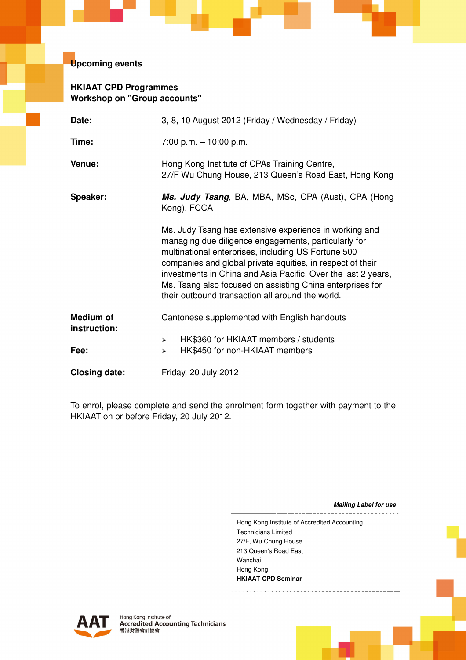**Upcoming events** 

# **HKIAAT CPD Programmes Workshop on "Group accounts"**

| Date:                            | 3, 8, 10 August 2012 (Friday / Wednesday / Friday)                                                                                                                                                                                                                                                                                                                                                                    |  |  |  |  |
|----------------------------------|-----------------------------------------------------------------------------------------------------------------------------------------------------------------------------------------------------------------------------------------------------------------------------------------------------------------------------------------------------------------------------------------------------------------------|--|--|--|--|
| Time:                            | $7:00$ p.m. $-10:00$ p.m.                                                                                                                                                                                                                                                                                                                                                                                             |  |  |  |  |
| Venue:                           | Hong Kong Institute of CPAs Training Centre,<br>27/F Wu Chung House, 213 Queen's Road East, Hong Kong                                                                                                                                                                                                                                                                                                                 |  |  |  |  |
| Speaker:                         | Ms. Judy Tsang, BA, MBA, MSc, CPA (Aust), CPA (Hong<br>Kong), FCCA                                                                                                                                                                                                                                                                                                                                                    |  |  |  |  |
|                                  | Ms. Judy Tsang has extensive experience in working and<br>managing due diligence engagements, particularly for<br>multinational enterprises, including US Fortune 500<br>companies and global private equities, in respect of their<br>investments in China and Asia Pacific. Over the last 2 years,<br>Ms. Tsang also focused on assisting China enterprises for<br>their outbound transaction all around the world. |  |  |  |  |
| <b>Medium of</b><br>instruction: | Cantonese supplemented with English handouts                                                                                                                                                                                                                                                                                                                                                                          |  |  |  |  |
| Fee:                             | HK\$360 for HKIAAT members / students<br>$\blacktriangle$<br>HK\$450 for non-HKIAAT members<br>$\blacktriangle$                                                                                                                                                                                                                                                                                                       |  |  |  |  |
| <b>Closing date:</b>             | Friday, 20 July 2012                                                                                                                                                                                                                                                                                                                                                                                                  |  |  |  |  |

To enrol, please complete and send the enrolment form together with payment to the HKIAAT on or before Friday, 20 July 2012.

**Mailing Label for use** 

Hong Kong Institute of Accredited Accounting Technicians Limited 27/F, Wu Chung House 213 Queen's Road East Wanchai Hong Kong **HKIAAT CPD Seminar**

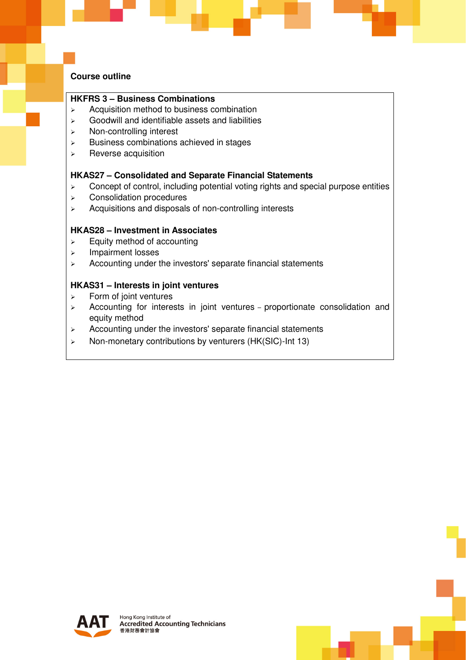## **Course outline**

## **HKFRS 3 – Business Combinations**

- $\triangleright$  Acquisition method to business combination
- $\triangleright$  Goodwill and identifiable assets and liabilities
- > Non-controlling interest
- $\triangleright$  Business combinations achieved in stages
- $\triangleright$  Reverse acquisition

#### **HKAS27 – Consolidated and Separate Financial Statements**

- $\triangleright$  Concept of control, including potential voting rights and special purpose entities
- Consolidation procedures
- $\triangleright$  Acquisitions and disposals of non-controlling interests

#### **HKAS28 – Investment in Associates**

- $\triangleright$  Equity method of accounting
- > Impairment losses
- $\triangleright$  Accounting under the investors' separate financial statements

#### **HKAS31 – Interests in joint ventures**

- $\triangleright$  Form of joint ventures
- $\geq$  Accounting for interests in joint ventures proportionate consolidation and equity method
- $\triangleright$  Accounting under the investors' separate financial statements
- $\triangleright$  Non-monetary contributions by venturers (HK(SIC)-Int 13)